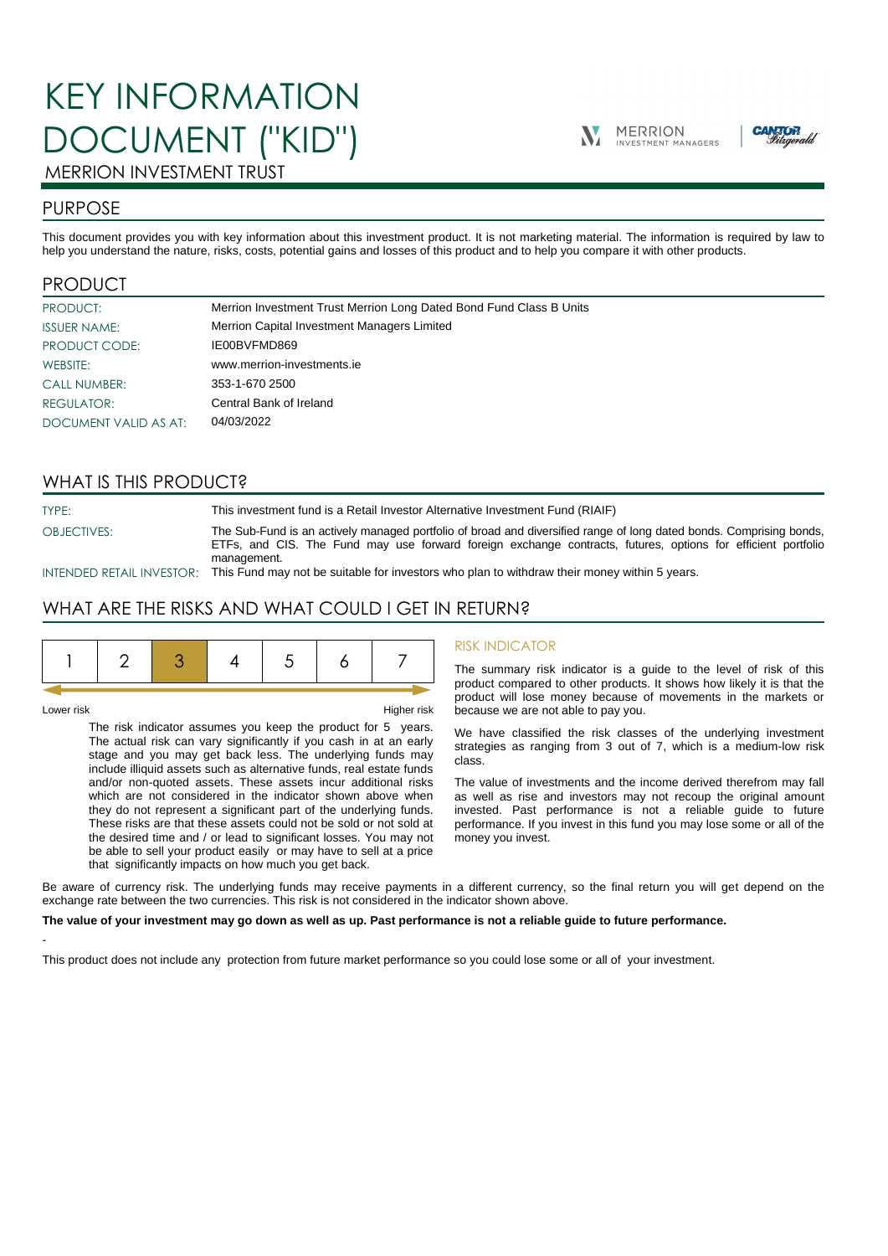# KEY INFORMATION DOCUMENT ("KID")





## MERRION INVESTMENT TRUST

## PURPOSE

This document provides you with key information about this investment product. It is not marketing material. The information is required by law to help you understand the nature, risks, costs, potential gains and losses of this product and to help you compare it with other products.

## PRODUCT

| PRODUCT:              | Merrion Investment Trust Merrion Long Dated Bond Fund Class B Units |
|-----------------------|---------------------------------------------------------------------|
| <b>ISSUER NAME:</b>   | Merrion Capital Investment Managers Limited                         |
| PRODUCT CODE:         | IE00BVFMD869                                                        |
| WEBSITE:              | www.merrion-investments.ie                                          |
| <b>CALL NUMBER:</b>   | 353-1-670 2500                                                      |
| <b>REGULATOR:</b>     | Central Bank of Ireland                                             |
| DOCUMENT VALID AS AT: | 04/03/2022                                                          |

## WHAT IS THIS PRODUCT?

TYPE: This investment fund is a Retail Investor Alternative Investment Fund (RIAIF) OBJECTIVES: The Sub-Fund is an actively managed portfolio of broad and diversified range of long dated bonds. Comprising bonds, ETFs, and CIS. The Fund may use forward foreign exchange contracts, futures, options for efficient portfolio management.

INTENDED RETAIL INVESTOR: This Fund may not be suitable for investors who plan to withdraw their money within 5 years.

## WHAT ARE THE RISKS AND WHAT COULD I GET IN RETURN?

|--|--|--|--|--|--|--|--|

-

Lower risk Higher risk

The risk indicator assumes you keep the product for 5 years. The actual risk can vary significantly if you cash in at an early stage and you may get back less. The underlying funds may include illiquid assets such as alternative funds, real estate funds and/or non-quoted assets. These assets incur additional risks which are not considered in the indicator shown above when they do not represent a significant part of the underlying funds. These risks are that these assets could not be sold or not sold at the desired time and / or lead to significant losses. You may not be able to sell your product easily or may have to sell at a price that significantly impacts on how much you get back.

#### RISK INDICATOR

The summary risk indicator is a guide to the level of risk of this product compared to other products. It shows how likely it is that the product will lose money because of movements in the markets or because we are not able to pay you.

We have classified the risk classes of the underlying investment strategies as ranging from 3 out of 7, which is a medium-low risk class.

The value of investments and the income derived therefrom may fall as well as rise and investors may not recoup the original amount invested. Past performance is not a reliable guide to future performance. If you invest in this fund you may lose some or all of the money you invest.

Be aware of currency risk. The underlying funds may receive payments in a different currency, so the final return you will get depend on the exchange rate between the two currencies. This risk is not considered in the indicator shown above.

#### **The value of your investment may go down as well as up. Past performance is not a reliable guide to future performance.**

This product does not include any protection from future market performance so you could lose some or all of your investment.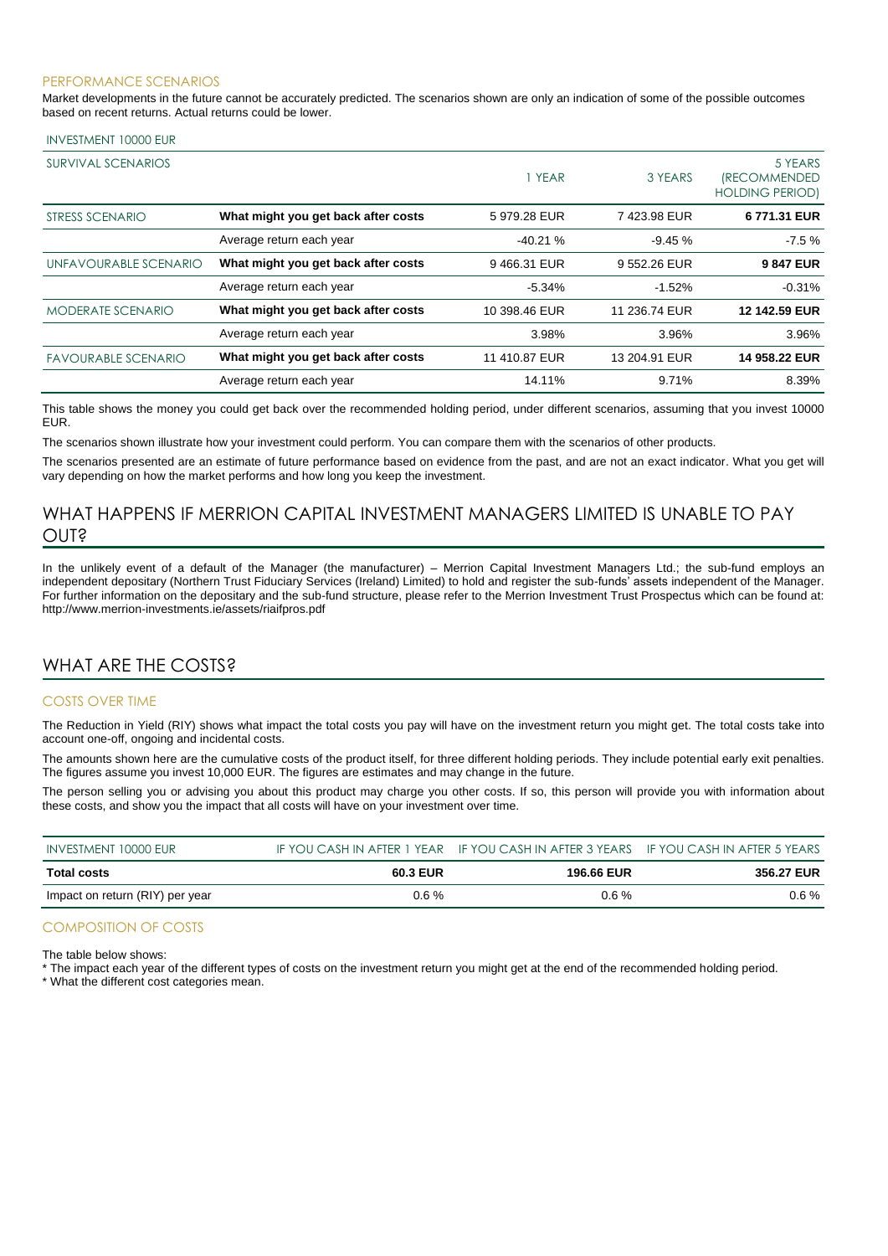#### PERFORMANCE SCENARIOS

Market developments in the future cannot be accurately predicted. The scenarios shown are only an indication of some of the possible outcomes based on recent returns. Actual returns could be lower.

#### INVESTMENT 10000 EUR

| SURVIVAL SCENARIOS         |                                     | 1 YEAR        | 3 YEARS       | 5 YEARS<br><i><b>(RECOMMENDED</b></i><br><b>HOLDING PERIOD)</b> |
|----------------------------|-------------------------------------|---------------|---------------|-----------------------------------------------------------------|
| STRESS SCENARIO            | What might you get back after costs | 5979.28 EUR   | 7423.98 EUR   | 6771.31 EUR                                                     |
|                            | Average return each year            | $-40.21%$     | $-9.45%$      | $-7.5%$                                                         |
| UNFAVOURABLE SCENARIO      | What might you get back after costs | 9466.31 EUR   | 9 552.26 EUR  | 9847 EUR                                                        |
|                            | Average return each year            | $-5.34%$      | $-1.52%$      | $-0.31%$                                                        |
| <b>MODERATE SCENARIO</b>   | What might you get back after costs | 10 398.46 EUR | 11 236.74 EUR | 12 142.59 EUR                                                   |
|                            | Average return each year            | 3.98%         | 3.96%         | 3.96%                                                           |
| <b>FAVOURABLE SCENARIO</b> | What might you get back after costs | 11 410.87 EUR | 13 204.91 EUR | 14 958.22 EUR                                                   |
|                            | Average return each year            | 14.11%        | 9.71%         | 8.39%                                                           |

This table shows the money you could get back over the recommended holding period, under different scenarios, assuming that you invest 10000 EUR.

The scenarios shown illustrate how your investment could perform. You can compare them with the scenarios of other products.

The scenarios presented are an estimate of future performance based on evidence from the past, and are not an exact indicator. What you get will vary depending on how the market performs and how long you keep the investment.

## WHAT HAPPENS IF MERRION CAPITAL INVESTMENT MANAGERS LIMITED IS UNABLE TO PAY OUT?

In the unlikely event of a default of the Manager (the manufacturer) – Merrion Capital Investment Managers Ltd.; the sub-fund employs an independent depositary (Northern Trust Fiduciary Services (Ireland) Limited) to hold and register the sub-funds' assets independent of the Manager. For further information on the depositary and the sub-fund structure, please refer to the Merrion Investment Trust Prospectus which can be found at: http://www.merrion-investments.ie/assets/riaifpros.pdf

## WHAT ARE THE COSTS?

#### COSTS OVER TIME

The Reduction in Yield (RIY) shows what impact the total costs you pay will have on the investment return you might get. The total costs take into account one-off, ongoing and incidental costs.

The amounts shown here are the cumulative costs of the product itself, for three different holding periods. They include potential early exit penalties. The figures assume you invest 10,000 EUR. The figures are estimates and may change in the future.

The person selling you or advising you about this product may charge you other costs. If so, this person will provide you with information about these costs, and show you the impact that all costs will have on your investment over time.

| INVESTMENT 10000 EUR            |          | IF YOU CASH IN AFTER 1 YEAR IF YOU CASH IN AFTER 3 YEARS IF YOU CASH IN AFTER 5 YEARS |            |
|---------------------------------|----------|---------------------------------------------------------------------------------------|------------|
| Total costs                     | 60.3 EUR | <b>196.66 EUR</b>                                                                     | 356.27 EUR |
| Impact on return (RIY) per year | $0.6 \%$ | $0.6\%$                                                                               | $0.6\%$    |

### COMPOSITION OF COSTS

The table below shows:

\* The impact each year of the different types of costs on the investment return you might get at the end of the recommended holding period.

\* What the different cost categories mean.